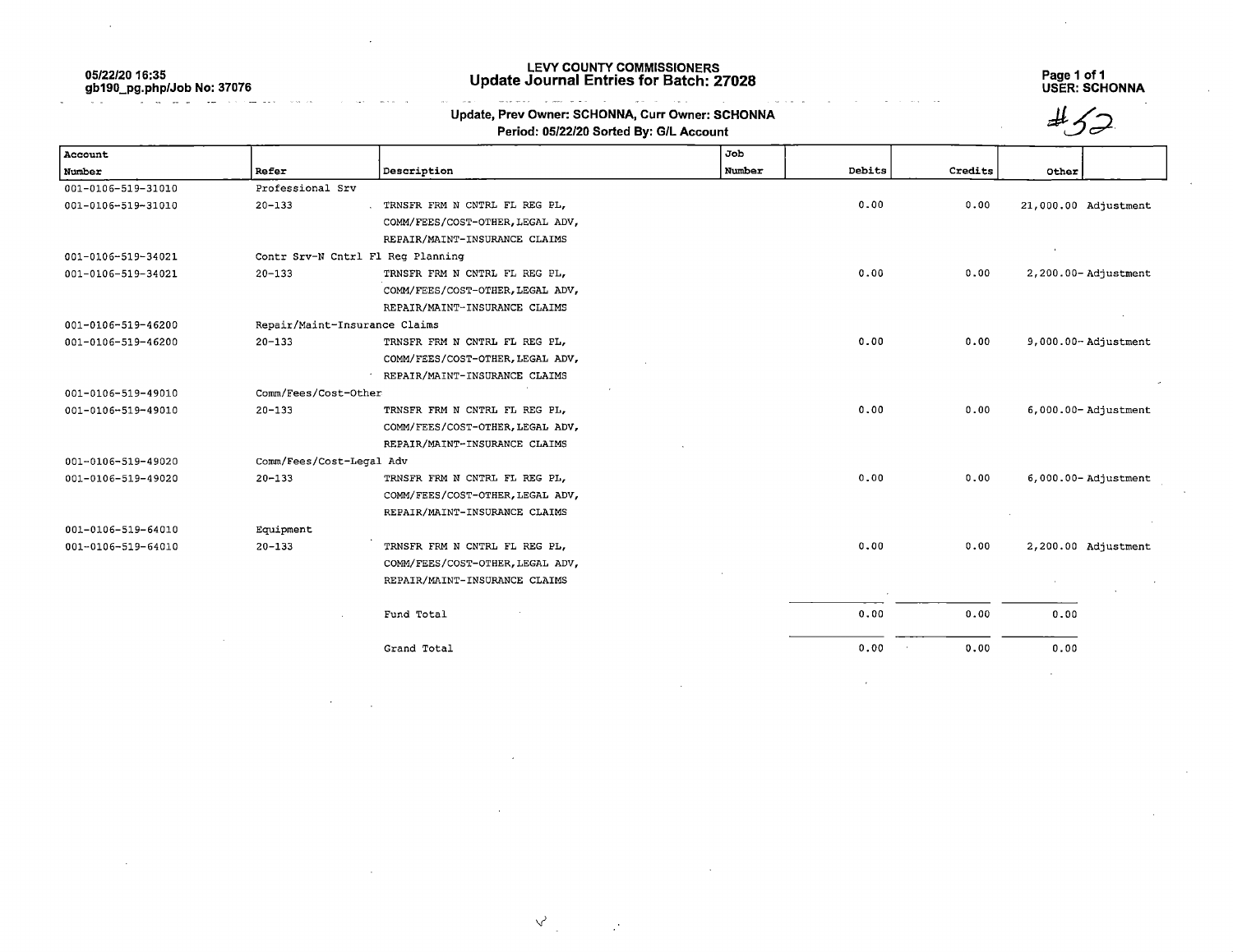05/22/20 16:35 gb190\_pg.php/Job No: 37076

## LEVY COUNTY COMMISSIONERS Update Journal Entries for Batch: 27028 Page 1 of 1

Page 1 of 1<br>USER: SCHONNA

 $#$ 52

 $\sim$   $\sim$   $\sim$ 

## التوسي المرضان الكاريكم ستسلم المحسنين  $\sim$  $\sim$   $\sim$ Update, Prev Owner: SCHONNA, Curr Owner: SCHONNA Period: 05/22/20 Sorted By: G/L Account

| Account            |                          |                                   | Job    |        |         |                         |
|--------------------|--------------------------|-----------------------------------|--------|--------|---------|-------------------------|
| Number             | Refer                    | <b>Description</b>                | Number | Debits | Credits | Other                   |
| 001-0106-519-31010 | Professional Srv         |                                   |        |        |         |                         |
| 001-0106-519-31010 | $20 - 133$               | TRNSFR FRM N CNTRL FL REG PL,     |        | 0.00   | 0.00    | 21,000.00 Adjustment    |
|                    |                          | COMM/FEES/COST-OTHER, LEGAL ADV,  |        |        |         |                         |
|                    |                          | REPAIR/MAINT-INSURANCE CLAIMS     |        |        |         |                         |
| 001-0106-519-34021 |                          | Contr Srv-N Cntrl Fl Req Planning |        |        |         |                         |
| 001-0106-519-34021 | $20 - 133$               | TRNSFR FRM N CNTRL FL REG PL,     |        | 0.00   | 0.00    | 2,200.00-Adjustment     |
|                    |                          | COMM/FEES/COST-OTHER, LEGAL ADV,  |        |        |         |                         |
|                    |                          | REPAIR/MAINT-INSURANCE CLAIMS     |        |        |         |                         |
| 001-0106-519-46200 |                          | Repair/Maint-Insurance Claims     |        |        |         |                         |
| 001-0106-519-46200 | $20 - 133$               | TRNSFR FRM N CNTRL FL REG PL,     |        | 0.00   | 0.00    | $9,000.00 -$ Adjustment |
|                    |                          | COMM/FEES/COST-OTHER, LEGAL ADV,  |        |        |         |                         |
|                    |                          | REPAIR/MAINT-INSURANCE CLAIMS     |        |        |         |                         |
| 001-0106-519-49010 | Comm/Fees/Cost-Other     |                                   |        |        |         |                         |
| 001-0106-519-49010 | $20 - 133$               | TRNSFR FRM N CNTRL FL REG PL,     |        | 0.00   | 0.00    | $6,000.00 -$ Adjustment |
|                    |                          | COMM/FEES/COST-OTHER, LEGAL ADV,  |        |        |         |                         |
|                    |                          | REPAIR/MAINT-INSURANCE CLAIMS     |        |        |         |                         |
| 001-0106-519-49020 | Comm/Fees/Cost-Legal Adv |                                   |        |        |         |                         |
| 001-0106-519-49020 | $20 - 133$               | TRNSFR FRM N CNTRL FL REG PL,     |        | 0.00   | 0.00    | $6,000.00 -$ Adjustment |
|                    |                          | COMM/FEES/COST-OTHER, LEGAL ADV,  |        |        |         |                         |
|                    |                          | REPAIR/MAINT-INSURANCE CLAIMS     |        |        |         |                         |
| 001-0106-519-64010 | Equipment                |                                   |        |        |         |                         |
| 001-0106-519-64010 | $20 - 133$               | TRNSFR FRM N CNTRL FL REG PL,     |        | 0.00   | 0.00    | 2,200.00 Adjustment     |
|                    |                          | COMM/FEES/COST-OTHER, LEGAL ADV,  |        |        |         |                         |
|                    |                          | REPAIR/MAINT-INSURANCE CLAIMS     |        |        |         |                         |
|                    |                          |                                   |        |        |         |                         |
|                    |                          | Fund Total                        |        | 0.00   | 0.00    | 0.00                    |
|                    |                          |                                   |        |        |         |                         |
|                    |                          | Grand Total                       |        | 0.00   | 0.00    | 0.00                    |

 $\Delta$ 

 $\mathbb{R}^3$